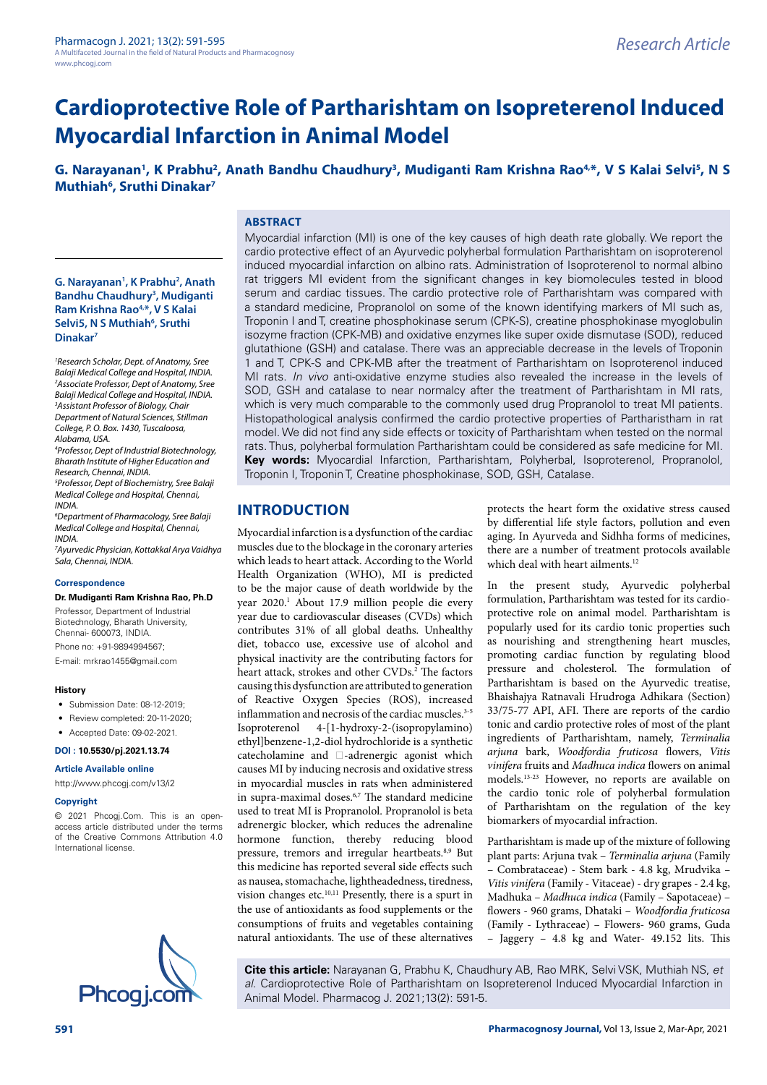# **Cardioprotective Role of Partharishtam on Isopreterenol Induced Myocardial Infarction in Animal Model**

G. Narayanan<sup>1</sup>, K Prabhu<sup>2</sup>, Anath Bandhu Chaudhury<sup>3</sup>, Mudiganti Ram Krishna Rao<sup>4,\*</sup>, V S Kalai Selvi<sup>5</sup>, N S **Muthiah6 , Sruthi Dinakar7**

### **ABSTRACT**

**G. Narayanan1 , K Prabhu2 , Anath Bandhu Chaudhury3 , Mudiganti Ram Krishna Rao4,\*, V S Kalai**  Selvi5, N S Muthiah<sup>6</sup>, Sruthi **Dinakar7**

*1 Research Scholar, Dept. of Anatomy, Sree Balaji Medical College and Hospital, INDIA. 2 Associate Professor, Dept of Anatomy, Sree Balaji Medical College and Hospital, INDIA. 3 Assistant Professor of Biology, Chair Department of Natural Sciences, Stillman College, P. O. Box. 1430, Tuscaloosa, Alabama, USA. 4 Professor, Dept of Industrial Biotechnology,* 

*Bharath Institute of Higher Education and Research, Chennai, INDIA. 5 Professor, Dept of Biochemistry, Sree Balaji* 

*Medical College and Hospital, Chennai, INDIA.*

*6 Department of Pharmacology, Sree Balaji Medical College and Hospital, Chennai, INDIA.*

*7 Ayurvedic Physician, Kottakkal Arya Vaidhya Sala, Chennai, INDIA.*

#### **Correspondence**

**Dr. Mudiganti Ram Krishna Rao, Ph.D**

Professor, Department of Industrial Biotechnology, Bharath University, Chennai- 600073, INDIA. Phone no: +91-9894994567;

E-mail: [mrkrao1455@gmail.com](mailto:mrkrao1455@gmail.com)

#### **History**

- Submission Date: 08-12-2019;
- Review completed: 20-11-2020;
- Accepted Date: 09-02-2021.

**DOI : 10.5530/pj.2021.13.74**

**Article Available online** 

<http://www.phcogj.com/v13/i2>

#### **Copyright**

© 2021 Phcogj.Com. This is an openaccess article distributed under the terms of the Creative Commons Attribution 4.0 International license.



Myocardial infarction (MI) is one of the key causes of high death rate globally. We report the cardio protective effect of an Ayurvedic polyherbal formulation Partharishtam on isoproterenol induced myocardial infarction on albino rats. Administration of Isoproterenol to normal albino rat triggers MI evident from the significant changes in key biomolecules tested in blood serum and cardiac tissues. The cardio protective role of Partharishtam was compared with a standard medicine, Propranolol on some of the known identifying markers of MI such as, Troponin I and T, creatine phosphokinase serum (CPK-S), creatine phosphokinase myoglobulin isozyme fraction (CPK-MB) and oxidative enzymes like super oxide dismutase (SOD), reduced glutathione (GSH) and catalase. There was an appreciable decrease in the levels of Troponin 1 and T, CPK-S and CPK-MB after the treatment of Partharishtam on Isoproterenol induced MI rats. *In vivo* anti-oxidative enzyme studies also revealed the increase in the levels of SOD, GSH and catalase to near normalcy after the treatment of Partharishtam in MI rats, which is very much comparable to the commonly used drug Propranolol to treat MI patients. Histopathological analysis confirmed the cardio protective properties of Partharistham in rat model. We did not find any side effects or toxicity of Partharishtam when tested on the normal rats. Thus, polyherbal formulation Partharishtam could be considered as safe medicine for MI. **Key words:** Myocardial Infarction, Partharishtam, Polyherbal, Isoproterenol, Propranolol, Troponin I, Troponin T, Creatine phosphokinase, SOD, GSH, Catalase.

# **INTRODUCTION**

Myocardial infarction is a dysfunction of the cardiac muscles due to the blockage in the coronary arteries which leads to heart attack. According to the World Health Organization (WHO), MI is predicted to be the major cause of death worldwide by the year 2020.<sup>1</sup> About 17.9 million people die every year due to cardiovascular diseases (CVDs) which contributes 31% of all global deaths. Unhealthy diet, tobacco use, excessive use of alcohol and physical inactivity are the contributing factors for heart attack, strokes and other CVDs.<sup>2</sup> The factors causing this dysfunction are attributed to generation of Reactive Oxygen Species (ROS), increased inflammation and necrosis of the cardiac muscles.<sup>3-5</sup> Isoproterenol 4-[1-hydroxy-2-(isopropylamino) ethyl]benzene-1,2-diol hydrochloride is a synthetic catecholamine and  $\Box$ -adrenergic agonist which causes MI by inducing necrosis and oxidative stress in myocardial muscles in rats when administered in supra-maximal doses.6,7 The standard medicine used to treat MI is Propranolol. Propranolol is beta adrenergic blocker, which reduces the adrenaline hormone function, thereby reducing blood pressure, tremors and irregular heartbeats.<sup>8,9</sup> But this medicine has reported several side effects such as nausea, stomachache, lightheadedness, tiredness, vision changes etc.10,11 Presently, there is a spurt in the use of antioxidants as food supplements or the consumptions of fruits and vegetables containing natural antioxidants. The use of these alternatives

protects the heart form the oxidative stress caused by differential life style factors, pollution and even aging. In Ayurveda and Sidhha forms of medicines, there are a number of treatment protocols available which deal with heart ailments.<sup>12</sup>

In the present study, Ayurvedic polyherbal formulation, Partharishtam was tested for its cardioprotective role on animal model. Partharishtam is popularly used for its cardio tonic properties such as nourishing and strengthening heart muscles, promoting cardiac function by regulating blood pressure and cholesterol. The formulation of Partharishtam is based on the Ayurvedic treatise, Bhaishajya Ratnavali Hrudroga Adhikara (Section) 33/75-77 API, AFI. There are reports of the cardio tonic and cardio protective roles of most of the plant ingredients of Partharishtam, namely, *Terminalia arjuna* bark, *Woodfordia fruticosa* flowers, *Vitis vinifera* fruits and *Madhuca indica* flowers on animal models.13-23 However, no reports are available on the cardio tonic role of polyherbal formulation of Partharishtam on the regulation of the key biomarkers of myocardial infraction.

Partharishtam is made up of the mixture of following plant parts: Arjuna tvak – *Terminalia arjuna* (Family – Combrataceae) - Stem bark - 4.8 kg, Mrudvika *– Vitis vinifera* (Family - Vitaceae) - dry grapes - 2.4 kg, Madhuka – *Madhuca indica* (Family – Sapotaceae) – flowers - 960 grams, Dhataki – *Woodfordia fruticosa* (Family - Lythraceae) – Flowers- 960 grams, Guda – Jaggery – 4.8 kg and Water- 49.152 lits. This

**Cite this article:** Narayanan G, Prabhu K, Chaudhury AB, Rao MRK, Selvi VSK, Muthiah NS, *et al.* Cardioprotective Role of Partharishtam on Isopreterenol Induced Myocardial Infarction in Animal Model. Pharmacog J. 2021;13(2): 591-5.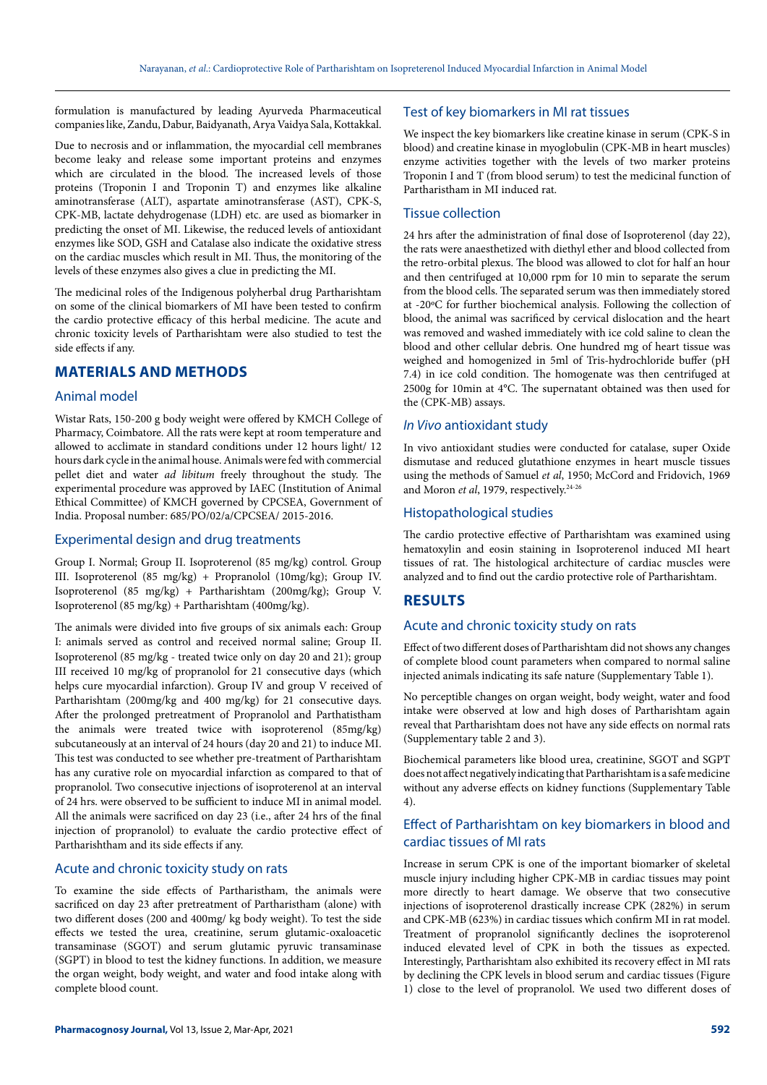formulation is manufactured by leading Ayurveda Pharmaceutical companies like, Zandu, Dabur, Baidyanath, Arya Vaidya Sala, Kottakkal.

Due to necrosis and or inflammation, the myocardial cell membranes become leaky and release some important proteins and enzymes which are circulated in the blood. The increased levels of those proteins (Troponin I and Troponin T) and enzymes like alkaline aminotransferase (ALT), aspartate aminotransferase (AST), CPK-S, CPK-MB, lactate dehydrogenase (LDH) etc. are used as biomarker in predicting the onset of MI. Likewise, the reduced levels of antioxidant enzymes like SOD, GSH and Catalase also indicate the oxidative stress on the cardiac muscles which result in MI. Thus, the monitoring of the levels of these enzymes also gives a clue in predicting the MI.

The medicinal roles of the Indigenous polyherbal drug Partharishtam on some of the clinical biomarkers of MI have been tested to confirm the cardio protective efficacy of this herbal medicine. The acute and chronic toxicity levels of Partharishtam were also studied to test the side effects if any.

# **MATERIALS AND METHODS**

#### Animal model

Wistar Rats, 150-200 g body weight were offered by KMCH College of Pharmacy, Coimbatore. All the rats were kept at room temperature and allowed to acclimate in standard conditions under 12 hours light/ 12 hours dark cycle in the animal house. Animals were fed with commercial pellet diet and water *ad libitum* freely throughout the study. The experimental procedure was approved by IAEC (Institution of Animal Ethical Committee) of KMCH governed by CPCSEA, Government of India. Proposal number: 685/PO/02/a/CPCSEA/ 2015-2016.

#### Experimental design and drug treatments

Group I. Normal; Group II. Isoproterenol (85 mg/kg) control. Group III. Isoproterenol (85 mg/kg) + Propranolol (10mg/kg); Group IV. Isoproterenol (85 mg/kg) + Partharishtam (200mg/kg); Group V. Isoproterenol (85 mg/kg) + Partharishtam (400mg/kg).

The animals were divided into five groups of six animals each: Group I: animals served as control and received normal saline; Group II. Isoproterenol (85 mg/kg - treated twice only on day 20 and 21); group III received 10 mg/kg of propranolol for 21 consecutive days (which helps cure myocardial infarction). Group IV and group V received of Partharishtam (200mg/kg and 400 mg/kg) for 21 consecutive days. After the prolonged pretreatment of Propranolol and Parthatistham the animals were treated twice with isoproterenol (85mg/kg) subcutaneously at an interval of 24 hours (day 20 and 21) to induce MI. This test was conducted to see whether pre-treatment of Partharishtam has any curative role on myocardial infarction as compared to that of propranolol. Two consecutive injections of isoproterenol at an interval of 24 hrs. were observed to be sufficient to induce MI in animal model. All the animals were sacrificed on day 23 (i.e., after 24 hrs of the final injection of propranolol) to evaluate the cardio protective effect of Partharishtham and its side effects if any.

### Acute and chronic toxicity study on rats

To examine the side effects of Partharistham, the animals were sacrificed on day 23 after pretreatment of Partharistham (alone) with two different doses (200 and 400mg/ kg body weight). To test the side effects we tested the urea, creatinine, serum glutamic-oxaloacetic transaminase (SGOT) and serum glutamic pyruvic transaminase (SGPT) in blood to test the kidney functions. In addition, we measure the organ weight, body weight, and water and food intake along with complete blood count.

#### Test of key biomarkers in MI rat tissues

We inspect the key biomarkers like creatine kinase in serum (CPK-S in blood) and creatine kinase in myoglobulin (CPK-MB in heart muscles) enzyme activities together with the levels of two marker proteins Troponin I and T (from blood serum) to test the medicinal function of Partharistham in MI induced rat.

#### Tissue collection

24 hrs after the administration of final dose of Isoproterenol (day 22), the rats were anaesthetized with diethyl ether and blood collected from the retro-orbital plexus. The blood was allowed to clot for half an hour and then centrifuged at 10,000 rpm for 10 min to separate the serum from the blood cells. The separated serum was then immediately stored at -20ºC for further biochemical analysis. Following the collection of blood, the animal was sacrificed by cervical dislocation and the heart was removed and washed immediately with ice cold saline to clean the blood and other cellular debris. One hundred mg of heart tissue was weighed and homogenized in 5ml of Tris-hydrochloride buffer (pH 7.4) in ice cold condition. The homogenate was then centrifuged at 2500g for 10min at 4°C. The supernatant obtained was then used for the (CPK-MB) assays.

#### *In Vivo* antioxidant study

In vivo antioxidant studies were conducted for catalase, super Oxide dismutase and reduced glutathione enzymes in heart muscle tissues using the methods of Samuel *et al*, 1950; McCord and Fridovich, 1969 and Moron *et al*, 1979, respectively.<sup>24-26</sup>

#### Histopathological studies

The cardio protective effective of Partharishtam was examined using hematoxylin and eosin staining in Isoproterenol induced MI heart tissues of rat. The histological architecture of cardiac muscles were analyzed and to find out the cardio protective role of Partharishtam.

# **RESULTS**

#### Acute and chronic toxicity study on rats

Effect of two different doses of Partharishtam did not shows any changes of complete blood count parameters when compared to normal saline injected animals indicating its safe nature (Supplementary Table 1).

No perceptible changes on organ weight, body weight, water and food intake were observed at low and high doses of Partharishtam again reveal that Partharishtam does not have any side effects on normal rats (Supplementary table 2 and 3).

Biochemical parameters like blood urea, creatinine, SGOT and SGPT does not affect negatively indicating that Partharishtam is a safe medicine without any adverse effects on kidney functions (Supplementary Table 4).

## Effect of Partharishtam on key biomarkers in blood and cardiac tissues of MI rats

Increase in serum CPK is one of the important biomarker of skeletal muscle injury including higher CPK-MB in cardiac tissues may point more directly to heart damage. We observe that two consecutive injections of isoproterenol drastically increase CPK (282%) in serum and CPK-MB (623%) in cardiac tissues which confirm MI in rat model. Treatment of propranolol significantly declines the isoproterenol induced elevated level of CPK in both the tissues as expected. Interestingly, Partharishtam also exhibited its recovery effect in MI rats by declining the CPK levels in blood serum and cardiac tissues (Figure 1) close to the level of propranolol. We used two different doses of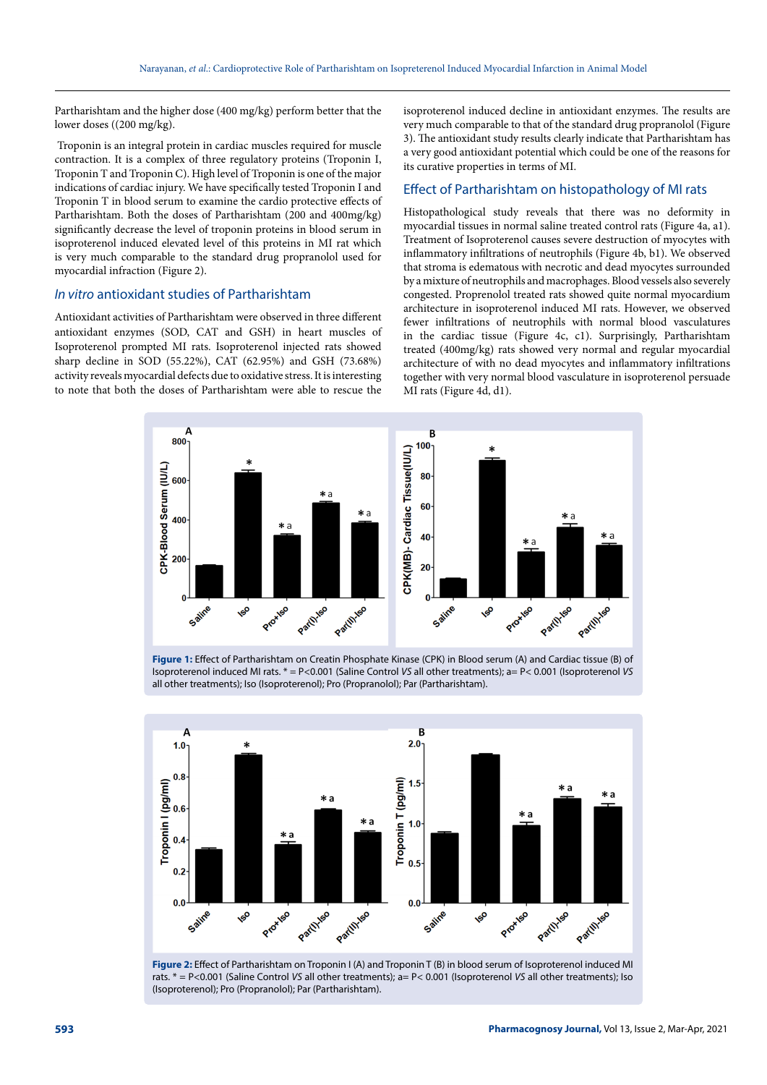Partharishtam and the higher dose (400 mg/kg) perform better that the lower doses ((200 mg/kg).

 Troponin is an integral protein in cardiac muscles required for muscle contraction. It is a complex of three regulatory proteins (Troponin I, Troponin T and Troponin C). High level of Troponin is one of the major indications of cardiac injury. We have specifically tested Troponin I and Troponin T in blood serum to examine the cardio protective effects of Partharishtam. Both the doses of Partharishtam (200 and 400mg/kg) significantly decrease the level of troponin proteins in blood serum in isoproterenol induced elevated level of this proteins in MI rat which is very much comparable to the standard drug propranolol used for myocardial infraction (Figure 2).

#### *In vitro* antioxidant studies of Partharishtam

Antioxidant activities of Partharishtam were observed in three different antioxidant enzymes (SOD, CAT and GSH) in heart muscles of Isoproterenol prompted MI rats. Isoproterenol injected rats showed sharp decline in SOD (55.22%), CAT (62.95%) and GSH (73.68%) activity reveals myocardial defects due to oxidative stress. It is interesting to note that both the doses of Partharishtam were able to rescue the isoproterenol induced decline in antioxidant enzymes. The results are very much comparable to that of the standard drug propranolol (Figure 3). The antioxidant study results clearly indicate that Partharishtam has a very good antioxidant potential which could be one of the reasons for its curative properties in terms of MI.

#### Effect of Partharishtam on histopathology of MI rats

Histopathological study reveals that there was no deformity in myocardial tissues in normal saline treated control rats (Figure 4a, a1). Treatment of Isoproterenol causes severe destruction of myocytes with inflammatory infiltrations of neutrophils (Figure 4b, b1). We observed that stroma is edematous with necrotic and dead myocytes surrounded by a mixture of neutrophils and macrophages. Blood vessels also severely congested. Proprenolol treated rats showed quite normal myocardium architecture in isoproterenol induced MI rats. However, we observed fewer infiltrations of neutrophils with normal blood vasculatures in the cardiac tissue (Figure 4c, c1). Surprisingly, Partharishtam treated (400mg/kg) rats showed very normal and regular myocardial architecture of with no dead myocytes and inflammatory infiltrations together with very normal blood vasculature in isoproterenol persuade MI rats (Figure 4d, d1).



**Figure 1:** Effect of Partharishtam on Creatin Phosphate Kinase (CPK) in Blood serum (A) and Cardiac tissue (B) of Isoproterenol induced MI rats. \* = P<0.001 (Saline Control *VS* all other treatments); a= P< 0.001 (Isoproterenol *VS* all other treatments); Iso (Isoproterenol); Pro (Propranolol); Par (Partharishtam).



**Figure 2:** Effect of Partharishtam on Troponin I (A) and Troponin T (B) in blood serum of Isoproterenol induced MI rats. \* = P<0.001 (Saline Control *VS* all other treatments); a= P< 0.001 (Isoproterenol *VS* all other treatments); Iso (Isoproterenol); Pro (Propranolol); Par (Partharishtam).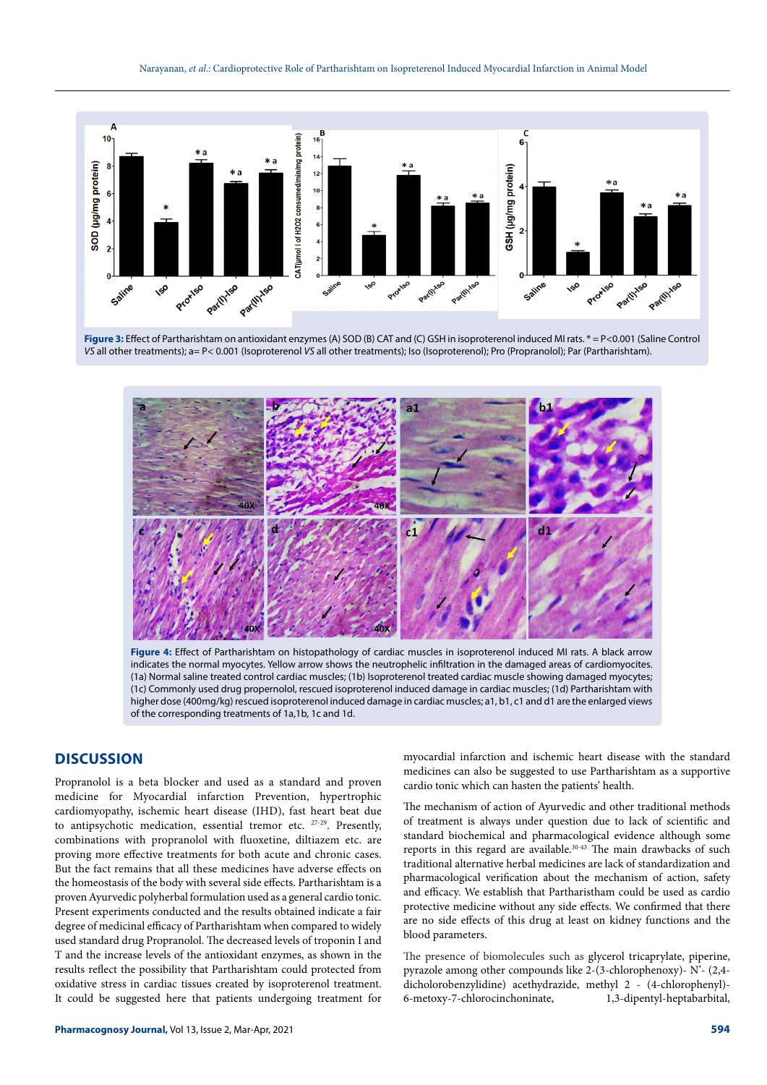

**Figure 3:** Effect of Partharishtam on antioxidant enzymes (A) SOD (B) CAT and (C) GSH in isoproterenol induced MI rats. \* = P<0.001 (Saline Control *VS* all other treatments); a= P< 0.001 (Isoproterenol *VS* all other treatments); Iso (Isoproterenol); Pro (Propranolol); Par (Partharishtam).



**Figure 4:** Effect of Partharishtam on histopathology of cardiac muscles in isoproterenol induced MI rats. A black arrow indicates the normal myocytes. Yellow arrow shows the neutrophelic infiltration in the damaged areas of cardiomyocites. (1a) Normal saline treated control cardiac muscles; (1b) Isoproterenol treated cardiac muscle showing damaged myocytes; (1c) Commonly used drug propernolol, rescued isoproterenol induced damage in cardiac muscles; (1d) Partharishtam with higher dose (400mg/kg) rescued isoproterenol induced damage in cardiac muscles; a1, b1, c1 and d1 are the enlarged views of the corresponding treatments of 1a,1b, 1c and 1d.

## **DISCUSSION**

Propranolol is a beta blocker and used as a standard and proven medicine for Myocardial infarction Prevention, hypertrophic cardiomyopathy, ischemic heart disease (IHD), fast heart beat due to antipsychotic medication, essential tremor etc. 27-29. Presently, combinations with propranolol with fluoxetine, diltiazem etc. are proving more effective treatments for both acute and chronic cases. But the fact remains that all these medicines have adverse effects on the homeostasis of the body with several side effects. Partharishtam is a proven Ayurvedic polyherbal formulation used as a general cardio tonic. Present experiments conducted and the results obtained indicate a fair degree of medicinal efficacy of Partharishtam when compared to widely used standard drug Propranolol. The decreased levels of troponin I and T and the increase levels of the antioxidant enzymes, as shown in the results reflect the possibility that Partharishtam could protected from oxidative stress in cardiac tissues created by isoproterenol treatment. It could be suggested here that patients undergoing treatment for

myocardial infarction and ischemic heart disease with the standard medicines can also be suggested to use Partharishtam as a supportive cardio tonic which can hasten the patients' health.

The mechanism of action of Ayurvedic and other traditional methods of treatment is always under question due to lack of scientific and standard biochemical and pharmacological evidence although some reports in this regard are available.<sup>30-43</sup> The main drawbacks of such traditional alternative herbal medicines are lack of standardization and pharmacological verification about the mechanism of action, safety and efficacy. We establish that Partharistham could be used as cardio protective medicine without any side effects. We confirmed that there are no side effects of this drug at least on kidney functions and the blood parameters.

The presence of biomolecules such as glycerol tricaprylate, piperine, pyrazole among other compounds like 2-(3-chlorophenoxy)- N'- (2,4 dicholorobenzylidine) acethydrazide, methyl 2 - (4-chlorophenyl)- 6-metoxy-7-chlorocinchoninate, 1,3-dipentyl-heptabarbital,